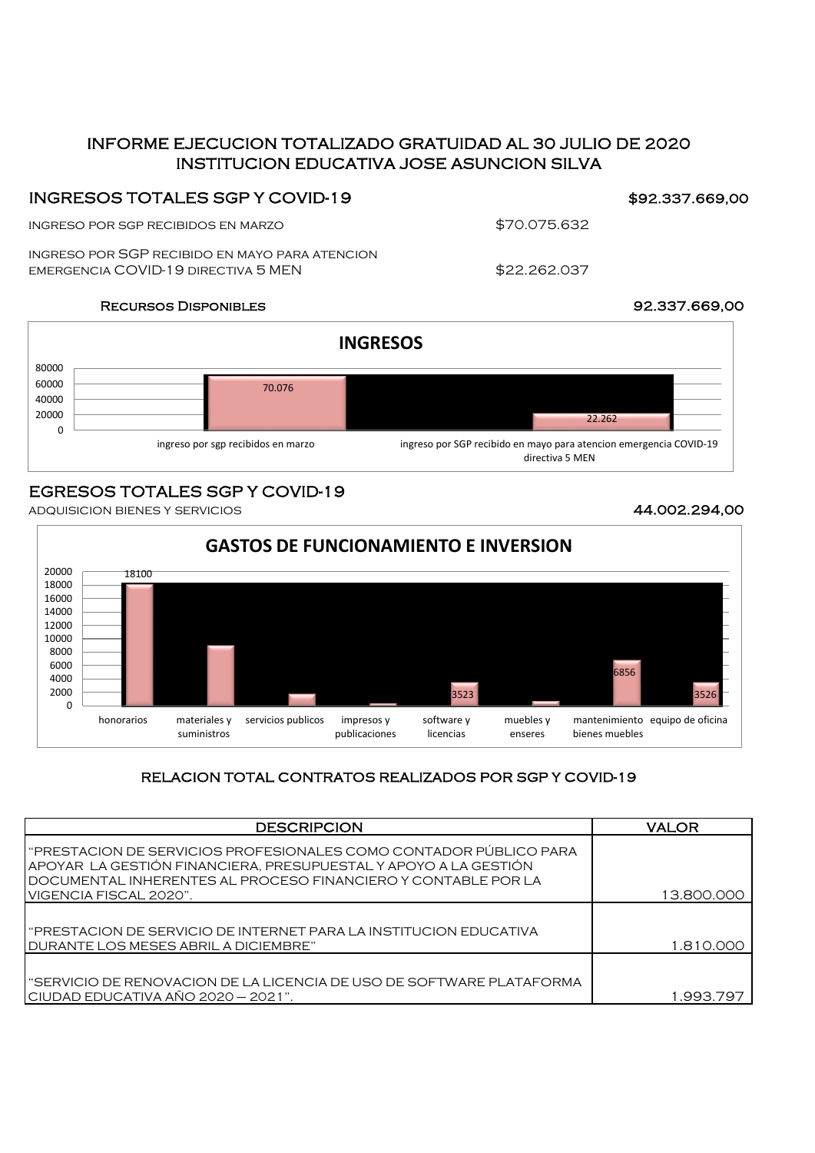## INSTITUCION EDUCATIVA JOSE ASUNCION SILVA INFORME EJECUCION TOTALIZADO GRATUIDAD AL 30 JULIO DE 2020

### INGRESOS TOTALES SGP Y COVID-19

ingreso por sgp recibidos en marzo

ingreso por SGP recibido en mayo para atencion emergencia COVID-19 directiva 5 MEN

\$70.075.632

\$22.262.037

### Recursos Disponibles 92.337.669,00



## EGRESOS TOTALES SGP Y COVID-19

adquisicion bienes y servicios 44.002.294,00



### RELACION TOTAL CONTRATOS REALIZADOS POR SGP Y COVID-19

| <b>DESCRIPCION</b>                                                                                                                                                                                    | <b>VALOR</b> |
|-------------------------------------------------------------------------------------------------------------------------------------------------------------------------------------------------------|--------------|
| "PRESTACION DE SERVICIOS PROFESIONALES COMO CONTADOR PÚBLICO PARA<br>APOYAR LA GESTIÓN FINANCIERA, PRESUPUESTAL Y APOYO A LA GESTIÓN<br>DOCUMENTAL INHERENTES AL PROCESO FINANCIERO Y CONTABLE POR LA |              |
| VIGENCIA FISCAL 2020".                                                                                                                                                                                | 13.800.000   |
| "PRESTACION DE SERVICIO DE INTERNET PARA LA INSTITUCION EDUCATIVA<br>DURANTE LOS MESES ABRIL A DICIEMBRE"                                                                                             | 1.810.000    |
| "SERVICIO DE RENOVACION DE LA LICENCIA DE USO DE SOFTWARE PLATAFORMA<br>CIUDAD EDUCATIVA AÑO 2020 - 2021".                                                                                            | 1.993.797    |

# \$92.337.669,00